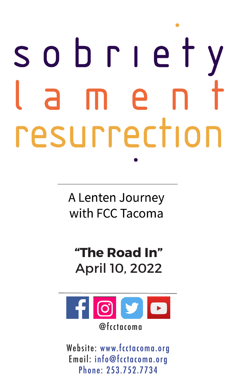# SODTIet  $\mathsf{P}$ resurrection

A Lenten Journey with FCC Tacoma

# **"The Road In"** April 10, 2022



Website: www.fcctacoma.org Email: info@fcctacoma.org Phone: 253.752.7734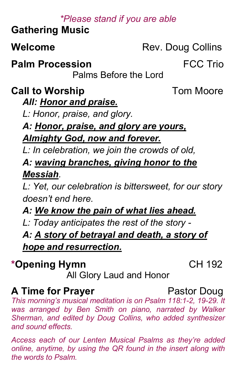### \*Please stand if you are able

# **Gathering Music**

Welcome

Rev. Doug Collins

**Palm Procession** 

Palms Before the Lord

**Call to Worship** 

**Tom Moore** 

**FCC Trio** 

All: Honor and praise.

L: Honor, praise, and glory.

A: Honor, praise, and glory are yours, Almighty God, now and forever.

L: In celebration, we join the crowds of old,

A: waving branches, giving honor to the Messiah.

L: Yet, our celebration is bittersweet, for our story doesn't end here

A: We know the pain of what lies ahead.

L: Today anticipates the rest of the story -

A: A story of betrayal and death, a story of hope and resurrection.

\*Opening Hymn

All Glory Laud and Honor

# **A Time for Prayer**

This morning's musical meditation is on Psalm 118:1-2, 19-29. It was arranged by Ben Smith on piano, narrated by Walker Sherman, and edited by Doug Collins, who added synthesizer and sound effects

Access each of our Lenten Musical Psalms as they're added online, anytime, by using the QR found in the insert along with the words to Psalm

# Pastor Doug

CH 192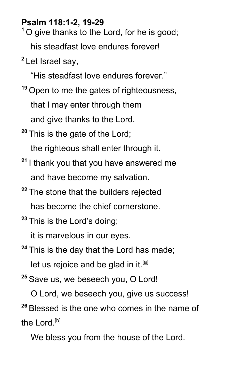#### **Psalm 118:1-2, 19-29**

**<sup>1</sup>** O give thanks to the Lord, for he is good; his steadfast love endures forever!

**<sup>2</sup>** Let Israel say,

"His steadfast love endures forever."

- **<sup>19</sup>** Open to me the gates of righteousness, that I may enter through them and give thanks to the Lord.
- **<sup>20</sup>** This is the gate of the Lord; the righteous shall enter through it.
- **<sup>21</sup>** I thank you that you have answered me and have become my salvation.
- **<sup>22</sup>** The stone that the builders rejected has become the chief cornerstone.
- **<sup>23</sup>** This is the Lord's doing;

it is marvelous in our eyes.

**<sup>24</sup>** This is the day that the Lord has made;

let us rejoice and be glad in it.<sup>[a]</sup>

**<sup>25</sup>** Save us, we beseech you, O Lord!

O Lord, we beseech you, give us success! **<sup>26</sup>** Blessed is the one who comes in the name of the Lord.<sup>[<u>b</u>]</sup>

We bless you from the house of the Lord.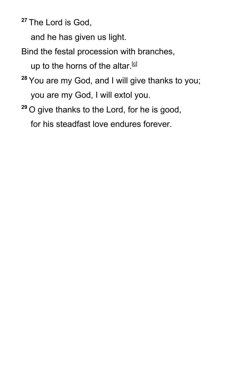**<sup>27</sup>** The Lord is God,

and he has given us light.

Bind the festal procession with branches,

up to the horns of the altar.  $[6]$ 

- **<sup>28</sup>** You are my God, and I will give thanks to you; you are my God, I will extol you.
- **<sup>29</sup>** O give thanks to the Lord, for he is good, for his steadfast love endures forever.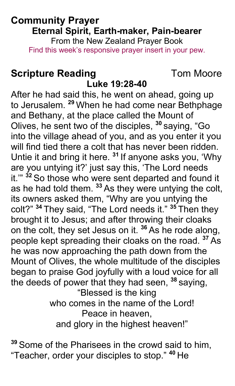#### **Community Prayer** Eternal Spirit, Earth-maker, Pain-bearer From the New Zealand Praver Book Find this week's responsive prayer insert in your pew.

#### **Scripture Reading** Luke 19:28-40

**Tom Moore** 

After he had said this, he went on ahead, going up to Jerusalem. <sup>29</sup> When he had come near Bethphage and Bethany, at the place called the Mount of Olives, he sent two of the disciples, <sup>30</sup> saying, "Go into the village ahead of you, and as you enter it you will find tied there a colt that has never been ridden. Untie it and bring it here. <sup>31</sup> If anyone asks you, 'Why are you untying it?' just say this, 'The Lord needs it." <sup>32</sup> So those who were sent departed and found it as he had told them. 33 As they were untying the colt. its owners asked them, "Why are you untying the colt?" <sup>34</sup> They said, "The Lord needs it." <sup>35</sup> Then they brought it to Jesus; and after throwing their cloaks on the colt, they set Jesus on it. <sup>36</sup> As he rode along, people kept spreading their cloaks on the road. <sup>37</sup> As he was now approaching the path down from the Mount of Olives, the whole multitude of the disciples began to praise God joyfully with a loud voice for all the deeds of power that they had seen, 38 saying, "Blessed is the king who comes in the name of the Lord! Peace in heaven. and glory in the highest heaven!"

<sup>39</sup> Some of the Pharisees in the crowd said to him, "Teacher, order your disciples to stop." <sup>40</sup> He